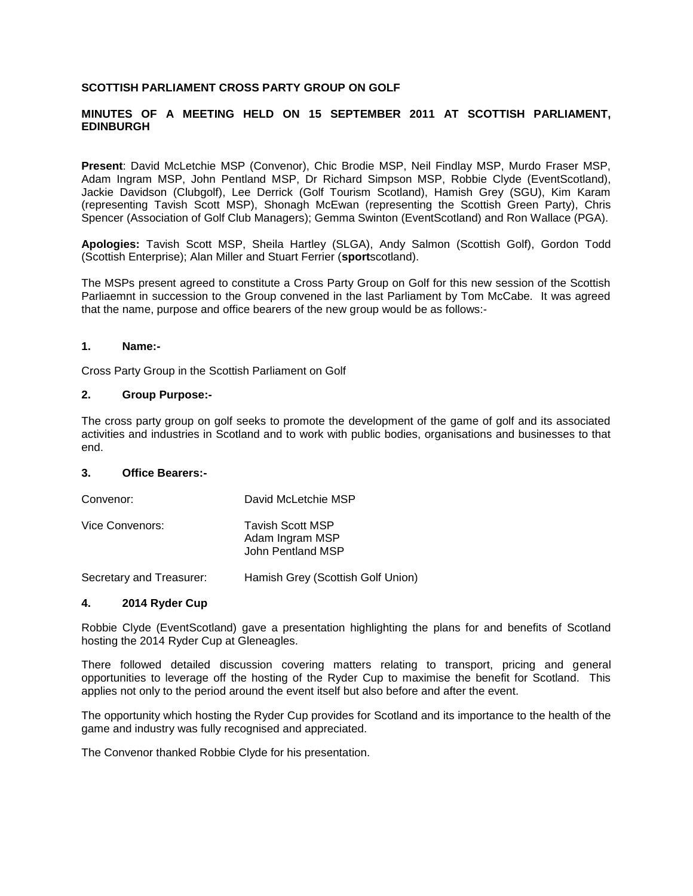# **SCOTTISH PARLIAMENT CROSS PARTY GROUP ON GOLF**

# **MINUTES OF A MEETING HELD ON 15 SEPTEMBER 2011 AT SCOTTISH PARLIAMENT, EDINBURGH**

**Present**: David McLetchie MSP (Convenor), Chic Brodie MSP, Neil Findlay MSP, Murdo Fraser MSP, Adam Ingram MSP, John Pentland MSP, Dr Richard Simpson MSP, Robbie Clyde (EventScotland), Jackie Davidson (Clubgolf), Lee Derrick (Golf Tourism Scotland), Hamish Grey (SGU), Kim Karam (representing Tavish Scott MSP), Shonagh McEwan (representing the Scottish Green Party), Chris Spencer (Association of Golf Club Managers); Gemma Swinton (EventScotland) and Ron Wallace (PGA).

**Apologies:** Tavish Scott MSP, Sheila Hartley (SLGA), Andy Salmon (Scottish Golf), Gordon Todd (Scottish Enterprise); Alan Miller and Stuart Ferrier (**sport**scotland).

The MSPs present agreed to constitute a Cross Party Group on Golf for this new session of the Scottish Parliaemnt in succession to the Group convened in the last Parliament by Tom McCabe. It was agreed that the name, purpose and office bearers of the new group would be as follows:-

#### **1. Name:-**

Cross Party Group in the Scottish Parliament on Golf

## **2. Group Purpose:-**

The cross party group on golf seeks to promote the development of the game of golf and its associated activities and industries in Scotland and to work with public bodies, organisations and businesses to that end.

# **3. Office Bearers:-**

| Convenor:                | David McLetchie MSP                                      |
|--------------------------|----------------------------------------------------------|
| Vice Convenors:          | Tavish Scott MSP<br>Adam Ingram MSP<br>John Pentland MSP |
| Secretary and Treasurer: | Hamish Grey (Scottish Golf Union)                        |

## **4. 2014 Ryder Cup**

Robbie Clyde (EventScotland) gave a presentation highlighting the plans for and benefits of Scotland hosting the 2014 Ryder Cup at Gleneagles.

There followed detailed discussion covering matters relating to transport, pricing and general opportunities to leverage off the hosting of the Ryder Cup to maximise the benefit for Scotland. This applies not only to the period around the event itself but also before and after the event.

The opportunity which hosting the Ryder Cup provides for Scotland and its importance to the health of the game and industry was fully recognised and appreciated.

The Convenor thanked Robbie Clyde for his presentation.